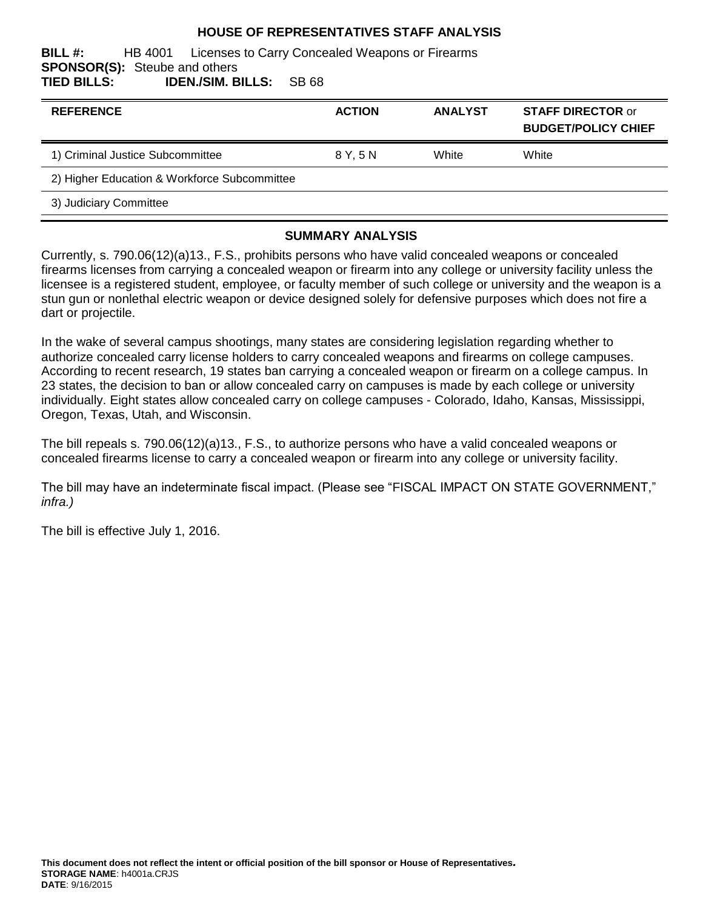#### **HOUSE OF REPRESENTATIVES STAFF ANALYSIS**

**BILL #:** HB 4001 Licenses to Carry Concealed Weapons or Firearms **SPONSOR(S):** Steube and others **TIED BILLS: IDEN./SIM. BILLS:** SB 68

| <b>REFERENCE</b>                             | <b>ACTION</b> | <b>ANALYST</b> | <b>STAFF DIRECTOR or</b><br><b>BUDGET/POLICY CHIEF</b> |
|----------------------------------------------|---------------|----------------|--------------------------------------------------------|
| 1) Criminal Justice Subcommittee             | 8 Y.5 N       | White          | White                                                  |
| 2) Higher Education & Workforce Subcommittee |               |                |                                                        |
| 3) Judiciary Committee                       |               |                |                                                        |

#### **SUMMARY ANALYSIS**

Currently, s. 790.06(12)(a)13., F.S., prohibits persons who have valid concealed weapons or concealed firearms licenses from carrying a concealed weapon or firearm into any college or university facility unless the licensee is a registered student, employee, or faculty member of such college or university and the weapon is a stun gun or nonlethal electric weapon or device designed solely for defensive purposes which does not fire a dart or projectile.

In the wake of several campus shootings, many states are considering legislation regarding whether to authorize concealed carry license holders to carry concealed weapons and firearms on college campuses. According to recent research, 19 states ban carrying a concealed weapon or firearm on a college campus. In 23 states, the decision to ban or allow concealed carry on campuses is made by each college or university individually. Eight states allow concealed carry on college campuses - Colorado, Idaho, Kansas, Mississippi, Oregon, Texas, Utah, and Wisconsin.

The bill repeals s. 790.06(12)(a)13., F.S., to authorize persons who have a valid concealed weapons or concealed firearms license to carry a concealed weapon or firearm into any college or university facility.

The bill may have an indeterminate fiscal impact. (Please see "FISCAL IMPACT ON STATE GOVERNMENT," *infra.)*

The bill is effective July 1, 2016.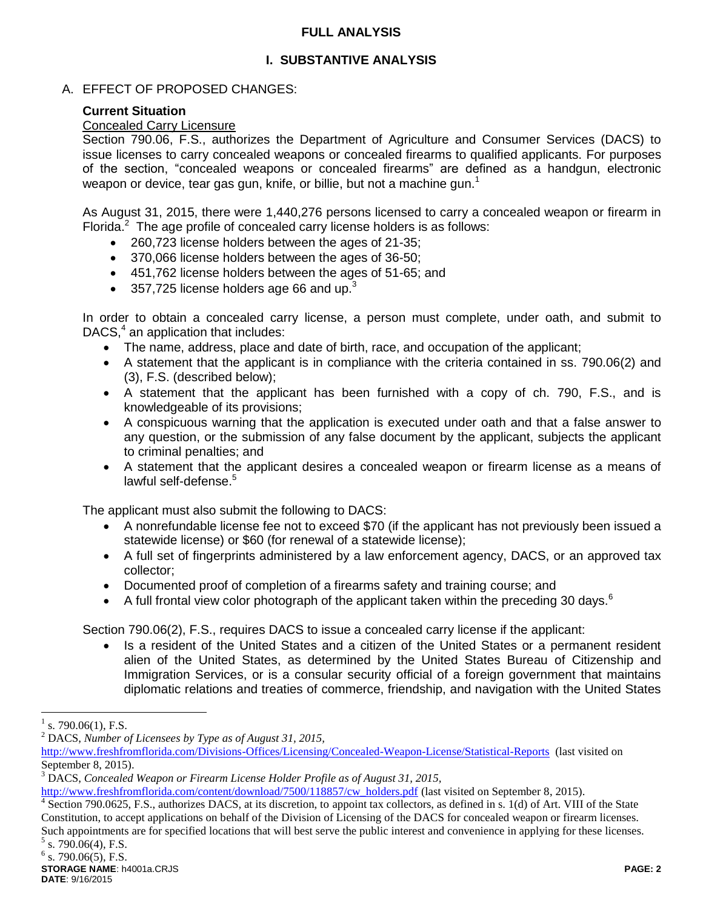### **FULL ANALYSIS**

# **I. SUBSTANTIVE ANALYSIS**

## A. EFFECT OF PROPOSED CHANGES:

## **Current Situation**

### Concealed Carry Licensure

Section 790.06, F.S., authorizes the Department of Agriculture and Consumer Services (DACS) to issue licenses to carry concealed weapons or concealed firearms to qualified applicants. For purposes of the section, "concealed weapons or concealed firearms" are defined as a handgun, electronic weapon or device, tear gas gun, knife, or billie, but not a machine gun.<sup>1</sup>

As August 31, 2015, there were 1,440,276 persons licensed to carry a concealed weapon or firearm in Florida. $2$  The age profile of concealed carry license holders is as follows:

- 260,723 license holders between the ages of 21-35;
- 370,066 license holders between the ages of 36-50;
- 451,762 license holders between the ages of 51-65; and
- 357,725 license holders age 66 and up. $3$

In order to obtain a concealed carry license, a person must complete, under oath, and submit to DACS, $4$  an application that includes:

- The name, address, place and date of birth, race, and occupation of the applicant;
- A statement that the applicant is in compliance with the criteria contained in ss. 790.06(2) and (3), F.S. (described below);
- A statement that the applicant has been furnished with a copy of ch. 790, F.S., and is knowledgeable of its provisions;
- A conspicuous warning that the application is executed under oath and that a false answer to any question, or the submission of any false document by the applicant, subjects the applicant to criminal penalties; and
- A statement that the applicant desires a concealed weapon or firearm license as a means of lawful self-defense.<sup>5</sup>

The applicant must also submit the following to DACS:

- A nonrefundable license fee not to exceed \$70 (if the applicant has not previously been issued a statewide license) or \$60 (for renewal of a statewide license);
- A full set of fingerprints administered by a law enforcement agency, DACS, or an approved tax collector;
- Documented proof of completion of a firearms safety and training course; and
- A full frontal view color photograph of the applicant taken within the preceding 30 days.<sup>6</sup>

Section 790.06(2), F.S., requires DACS to issue a concealed carry license if the applicant:

• Is a resident of the United States and a citizen of the United States or a permanent resident alien of the United States, as determined by the United States Bureau of Citizenship and Immigration Services, or is a consular security official of a foreign government that maintains diplomatic relations and treaties of commerce, friendship, and navigation with the United States

 $\overline{a}$ 

[http://www.freshfromflorida.com/content/download/7500/118857/cw\\_holders.pdf](http://www.freshfromflorida.com/content/download/7500/118857/cw_holders.pdf) (last visited on September 8, 2015).

<sup>4</sup> Section 790.0625, F.S., authorizes DACS, at its discretion, to appoint tax collectors, as defined in s. 1(d) of Art. VIII of the State Constitution, to accept applications on behalf of the Division of Licensing of the DACS for concealed weapon or firearm licenses. Such appointments are for specified locations that will best serve the public interest and convenience in applying for these licenses.

<sup>1</sup> s. 790.06(1), F.S.

<sup>2</sup> DACS, *Number of Licensees by Type as of August 31, 2015,*

<http://www.freshfromflorida.com/Divisions-Offices/Licensing/Concealed-Weapon-License/Statistical-Reports>(last visited on September 8, 2015).

<sup>3</sup> DACS, *Concealed Weapon or Firearm License Holder Profile as of August 31, 2015,*

 $5$  s. 790.06(4), F.S.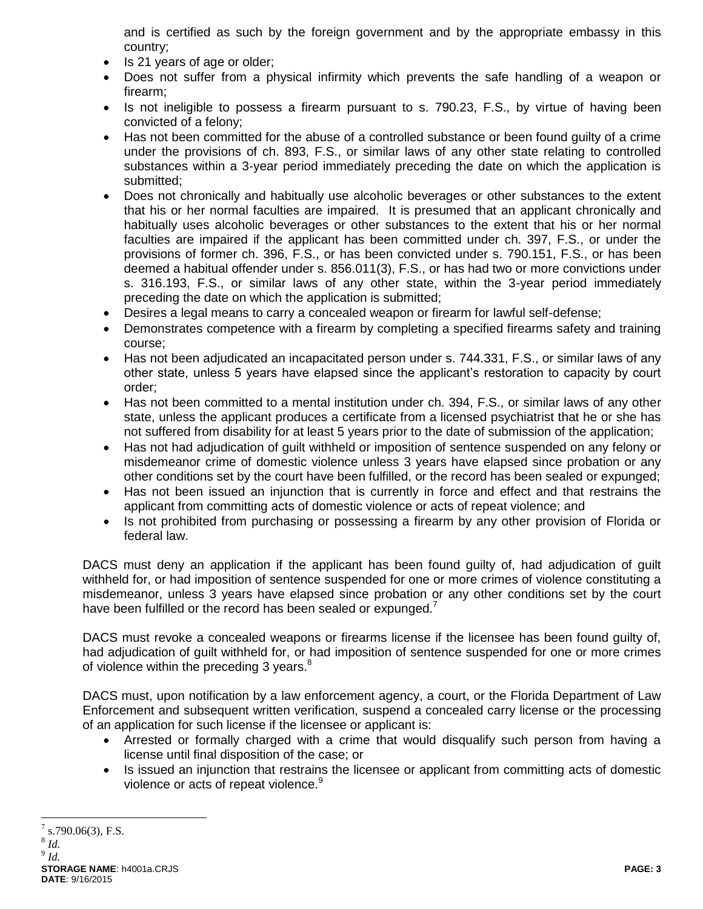and is certified as such by the foreign government and by the appropriate embassy in this country;

- Is 21 years of age or older;
- Does not suffer from a physical infirmity which prevents the safe handling of a weapon or firearm;
- Is not ineligible to possess a firearm pursuant to s. 790.23, F.S., by virtue of having been convicted of a felony;
- Has not been committed for the abuse of a controlled substance or been found guilty of a crime under the provisions of ch. 893, F.S., or similar laws of any other state relating to controlled substances within a 3-year period immediately preceding the date on which the application is submitted;
- Does not chronically and habitually use alcoholic beverages or other substances to the extent that his or her normal faculties are impaired. It is presumed that an applicant chronically and habitually uses alcoholic beverages or other substances to the extent that his or her normal faculties are impaired if the applicant has been committed under ch. 397, F.S., or under the provisions of former ch. 396, F.S., or has been convicted under s. 790.151, F.S., or has been deemed a habitual offender under s. 856.011(3), F.S., or has had two or more convictions under s. 316.193, F.S., or similar laws of any other state, within the 3-year period immediately preceding the date on which the application is submitted;
- Desires a legal means to carry a concealed weapon or firearm for lawful self-defense;
- Demonstrates competence with a firearm by completing a specified firearms safety and training course;
- Has not been adjudicated an incapacitated person under s. 744.331, F.S., or similar laws of any other state, unless 5 years have elapsed since the applicant's restoration to capacity by court order;
- Has not been committed to a mental institution under ch. 394, F.S., or similar laws of any other state, unless the applicant produces a certificate from a licensed psychiatrist that he or she has not suffered from disability for at least 5 years prior to the date of submission of the application;
- Has not had adjudication of guilt withheld or imposition of sentence suspended on any felony or misdemeanor crime of domestic violence unless 3 years have elapsed since probation or any other conditions set by the court have been fulfilled, or the record has been sealed or expunged;
- Has not been issued an injunction that is currently in force and effect and that restrains the applicant from committing acts of domestic violence or acts of repeat violence; and
- Is not prohibited from purchasing or possessing a firearm by any other provision of Florida or federal law.

DACS must deny an application if the applicant has been found guilty of, had adjudication of guilt withheld for, or had imposition of sentence suspended for one or more crimes of violence constituting a misdemeanor, unless 3 years have elapsed since probation or any other conditions set by the court have been fulfilled or the record has been sealed or expunged.<sup>7</sup>

DACS must revoke a concealed weapons or firearms license if the licensee has been found guilty of, had adjudication of guilt withheld for, or had imposition of sentence suspended for one or more crimes of violence within the preceding 3 years.<sup>8</sup>

DACS must, upon notification by a law enforcement agency, a court, or the Florida Department of Law Enforcement and subsequent written verification, suspend a concealed carry license or the processing of an application for such license if the licensee or applicant is:

- Arrested or formally charged with a crime that would disqualify such person from having a license until final disposition of the case; or
- Is issued an injunction that restrains the licensee or applicant from committing acts of domestic violence or acts of repeat violence.<sup>9</sup>

 $\overline{a}$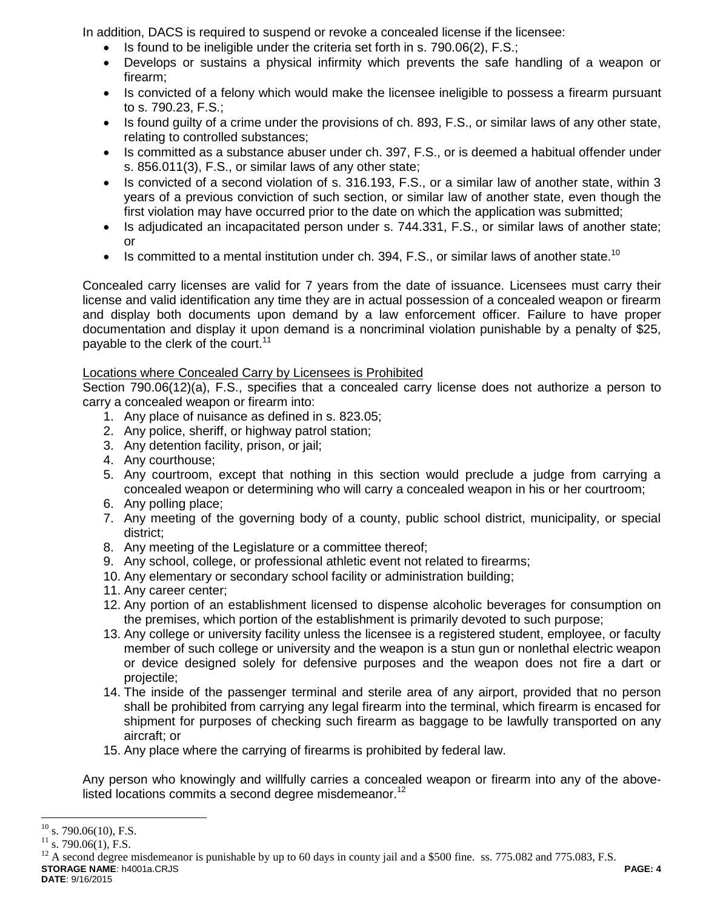In addition, DACS is required to suspend or revoke a concealed license if the licensee:

- Is found to be ineligible under the criteria set forth in s. 790.06(2), F.S.;
- Develops or sustains a physical infirmity which prevents the safe handling of a weapon or firearm;
- Is convicted of a felony which would make the licensee ineligible to possess a firearm pursuant to s. 790.23, F.S.;
- Is found guilty of a crime under the provisions of ch. 893, F.S., or similar laws of any other state, relating to controlled substances;
- Is committed as a substance abuser under ch. 397, F.S., or is deemed a habitual offender under s. 856.011(3), F.S., or similar laws of any other state;
- Is convicted of a second violation of s. 316.193, F.S., or a similar law of another state, within 3 years of a previous conviction of such section, or similar law of another state, even though the first violation may have occurred prior to the date on which the application was submitted;
- Is adjudicated an incapacitated person under s. 744.331, F.S., or similar laws of another state; or
- Is committed to a mental institution under ch. 394, F.S., or similar laws of another state.<sup>10</sup>

Concealed carry licenses are valid for 7 years from the date of issuance. Licensees must carry their license and valid identification any time they are in actual possession of a concealed weapon or firearm and display both documents upon demand by a law enforcement officer. Failure to have proper documentation and display it upon demand is a noncriminal violation punishable by a penalty of \$25, payable to the clerk of the court.<sup>11</sup>

## Locations where Concealed Carry by Licensees is Prohibited

Section 790.06(12)(a), F.S., specifies that a concealed carry license does not authorize a person to carry a concealed weapon or firearm into:

- 1. Any place of nuisance as defined in s. 823.05;
- 2. Any police, sheriff, or highway patrol station;
- 3. Any detention facility, prison, or jail;
- 4. Any courthouse;
- 5. Any courtroom, except that nothing in this section would preclude a judge from carrying a concealed weapon or determining who will carry a concealed weapon in his or her courtroom;
- 6. Any polling place;
- 7. Any meeting of the governing body of a county, public school district, municipality, or special district;
- 8. Any meeting of the Legislature or a committee thereof;
- 9. Any school, college, or professional athletic event not related to firearms;
- 10. Any elementary or secondary school facility or administration building;
- 11. Any career center;
- 12. Any portion of an establishment licensed to dispense alcoholic beverages for consumption on the premises, which portion of the establishment is primarily devoted to such purpose;
- 13. Any college or university facility unless the licensee is a registered student, employee, or faculty member of such college or university and the weapon is a stun gun or nonlethal electric weapon or device designed solely for defensive purposes and the weapon does not fire a dart or projectile;
- 14. The inside of the passenger terminal and sterile area of any airport, provided that no person shall be prohibited from carrying any legal firearm into the terminal, which firearm is encased for shipment for purposes of checking such firearm as baggage to be lawfully transported on any aircraft; or
- 15. Any place where the carrying of firearms is prohibited by federal law.

Any person who knowingly and willfully carries a concealed weapon or firearm into any of the abovelisted locations commits a second degree misdemeanor.<sup>12</sup>

 $10$ s. 790.06(10), F.S.

 $^{11}_{12}$  s. 790.06(1), F.S.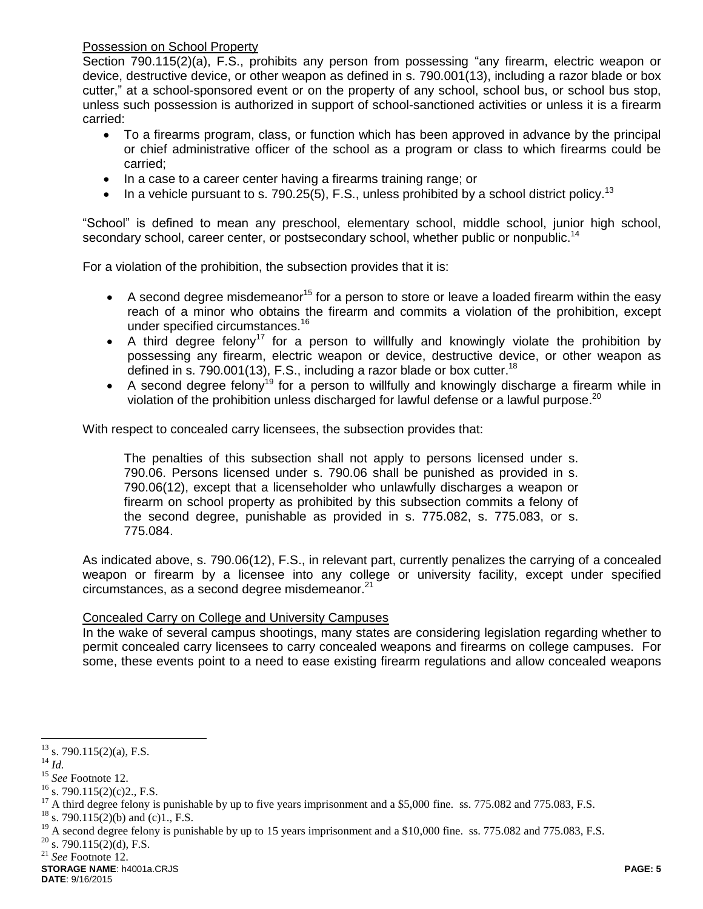Possession on School Property

Section 790.115(2)(a), F.S., prohibits any person from possessing "any firearm, electric weapon or device, destructive device, or other weapon as defined in s. 790.001(13), including a razor blade or box cutter," at a school-sponsored event or on the property of any school, school bus, or school bus stop, unless such possession is authorized in support of school-sanctioned activities or unless it is a firearm carried:

- To a firearms program, class, or function which has been approved in advance by the principal or chief administrative officer of the school as a program or class to which firearms could be carried;
- In a case to a career center having a firearms training range; or
- In a vehicle pursuant to s. 790.25(5), F.S., unless prohibited by a school district policy.<sup>13</sup>

"School" is defined to mean any preschool, elementary school, middle school, junior high school, secondary school, career center, or postsecondary school, whether public or nonpublic.<sup>14</sup>

For a violation of the prohibition, the subsection provides that it is:

- A second degree misdemeanor<sup>15</sup> for a person to store or leave a loaded firearm within the easy reach of a minor who obtains the firearm and commits a violation of the prohibition, except under specified circumstances.<sup>16</sup>
- A third degree felony<sup>17</sup> for a person to willfully and knowingly violate the prohibition by possessing any firearm, electric weapon or device, destructive device, or other weapon as defined in s. 790.001(13), F.S., including a razor blade or box cutter.<sup>18</sup>
- A second degree felony<sup>19</sup> for a person to willfully and knowingly discharge a firearm while in violation of the prohibition unless discharged for lawful defense or a lawful purpose.<sup>20</sup>

With respect to concealed carry licensees, the subsection provides that:

The penalties of this subsection shall not apply to persons licensed under s. 790.06. Persons licensed under s. 790.06 shall be punished as provided in s. 790.06(12), except that a licenseholder who unlawfully discharges a weapon or firearm on school property as prohibited by this subsection commits a felony of the second degree, punishable as provided in s. 775.082, s. 775.083, or s. 775.084.

As indicated above, s. 790.06(12), F.S., in relevant part, currently penalizes the carrying of a concealed weapon or firearm by a licensee into any college or university facility, except under specified circumstances, as a second degree misdemeanor. $21$ 

### Concealed Carry on College and University Campuses

In the wake of several campus shootings, many states are considering legislation regarding whether to permit concealed carry licensees to carry concealed weapons and firearms on college campuses. For some, these events point to a need to ease existing firearm regulations and allow concealed weapons

<sup>14</sup> *Id.*

 $\overline{a}$ 

<sup>18</sup> s. 790.115(2)(b) and (c)1., F.S.

<sup>19</sup> A second degree felony is punishable by up to 15 years imprisonment and a \$10,000 fine. ss. 775.082 and 775.083, F.S.

- $20$  s. 790.115(2)(d), F.S.
- <sup>21</sup> *See* Footnote 12.

**STORAGE NAME**: h4001a.CRJS **PAGE: 5 DATE**: 9/16/2015

 $13$  s. 790.115(2)(a), F.S.

<sup>15</sup> *See* Footnote 12.

 $16$  s. 790.115(2)(c)2., F.S.

<sup>&</sup>lt;sup>17</sup> A third degree felony is punishable by up to five years imprisonment and a \$5,000 fine. ss. 775.082 and 775.083, F.S.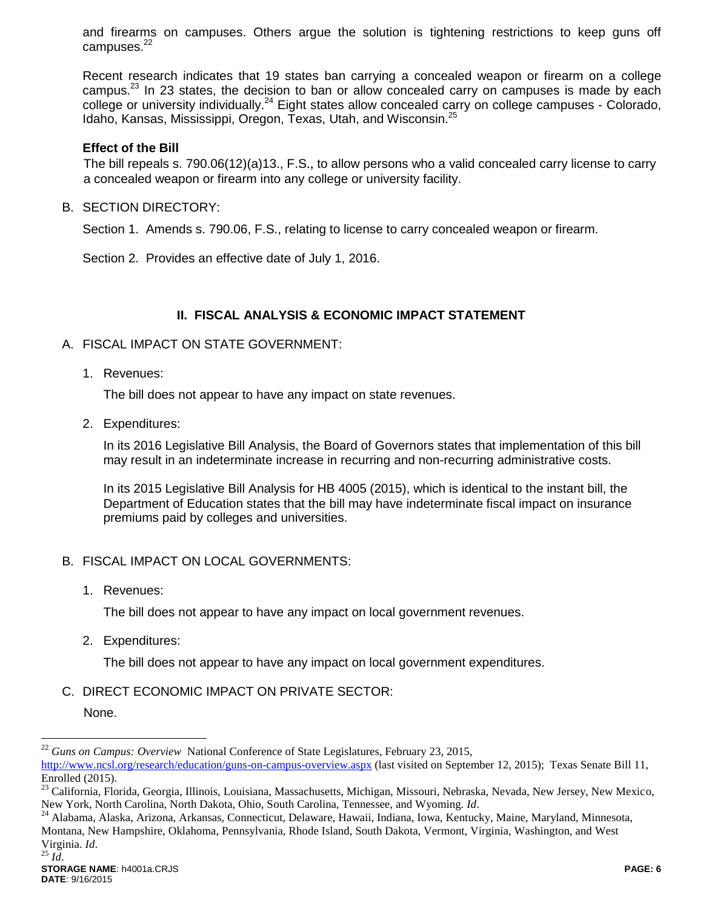and firearms on campuses. Others argue the solution is tightening restrictions to keep guns off campuses. $22$ 

Recent research indicates that 19 states ban carrying a concealed weapon or firearm on a college campus.<sup>23</sup> In 23 states, the decision to ban or allow concealed carry on campuses is made by each college or university individually.<sup>24</sup> Eight states allow concealed carry on college campuses - Colorado, Idaho, Kansas, Mississippi, Oregon, Texas, Utah, and Wisconsin.<sup>25</sup>

#### **Effect of the Bill**

The bill repeals s. 790.06(12)(a)13., F.S., to allow persons who a valid concealed carry license to carry a concealed weapon or firearm into any college or university facility.

B. SECTION DIRECTORY:

Section 1. Amends s. 790.06, F.S., relating to license to carry concealed weapon or firearm.

Section 2. Provides an effective date of July 1, 2016.

### **II. FISCAL ANALYSIS & ECONOMIC IMPACT STATEMENT**

#### A. FISCAL IMPACT ON STATE GOVERNMENT:

1. Revenues:

The bill does not appear to have any impact on state revenues.

2. Expenditures:

In its 2016 Legislative Bill Analysis, the Board of Governors states that implementation of this bill may result in an indeterminate increase in recurring and non-recurring administrative costs.

In its 2015 Legislative Bill Analysis for HB 4005 (2015), which is identical to the instant bill, the Department of Education states that the bill may have indeterminate fiscal impact on insurance premiums paid by colleges and universities.

### B. FISCAL IMPACT ON LOCAL GOVERNMENTS:

1. Revenues:

The bill does not appear to have any impact on local government revenues.

2. Expenditures:

The bill does not appear to have any impact on local government expenditures.

C. DIRECT ECONOMIC IMPACT ON PRIVATE SECTOR:

None.

 $\overline{a}$ 

<sup>22</sup> *Guns on Campus: Overview* National Conference of State Legislatures, February 23, 2015,

<http://www.ncsl.org/research/education/guns-on-campus-overview.aspx> (last visited on September 12, 2015); Texas Senate Bill 11, Enrolled (2015).

<sup>&</sup>lt;sup>23</sup> California, Florida, Georgia, Illinois, Louisiana, Massachusetts, Michigan, Missouri, Nebraska, Nevada, New Jersey, New Mexico, New York, North Carolina, North Dakota, Ohio, South Carolina, Tennessee, and Wyoming. *Id*.

<sup>&</sup>lt;sup>24</sup> Alabama, Alaska, Arizona, Arkansas, Connecticut, Delaware, Hawaii, Indiana, Iowa, Kentucky, Maine, Maryland, Minnesota, Montana, New Hampshire, Oklahoma, Pennsylvania, Rhode Island, South Dakota, Vermont, Virginia, Washington, and West Virginia. *Id*. <sup>25</sup> *Id*.